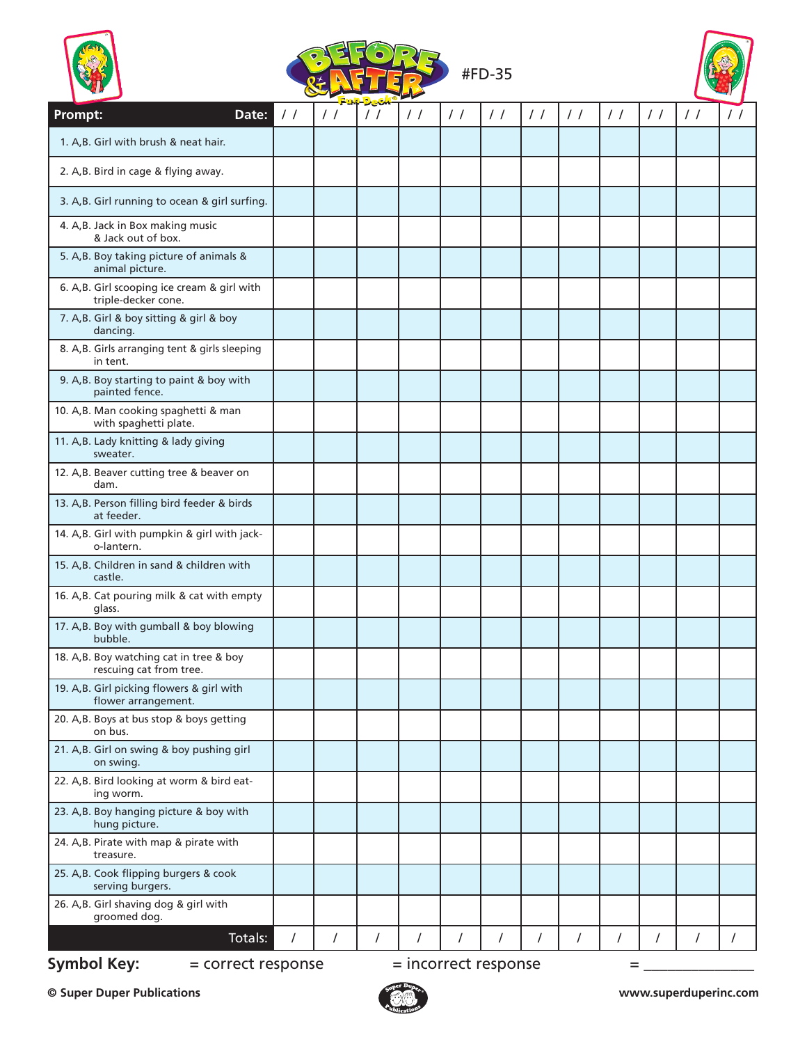|                                                                     |               |          |   |            |               | #FD-35        |               |               |               |               |               |                    |
|---------------------------------------------------------------------|---------------|----------|---|------------|---------------|---------------|---------------|---------------|---------------|---------------|---------------|--------------------|
| Prompt:<br>Date:                                                    | $\frac{1}{2}$ | $\prime$ |   | $\prime$ / | $\frac{1}{2}$ | $\frac{1}{2}$ | $\frac{1}{2}$ | $\frac{1}{2}$ | $\frac{1}{2}$ | $\frac{1}{2}$ | $\frac{1}{2}$ | $\left  \ \right $ |
| 1. A,B. Girl with brush & neat hair.                                |               |          |   |            |               |               |               |               |               |               |               |                    |
| 2. A, B. Bird in cage & flying away.                                |               |          |   |            |               |               |               |               |               |               |               |                    |
| 3. A,B. Girl running to ocean & girl surfing.                       |               |          |   |            |               |               |               |               |               |               |               |                    |
| 4. A,B. Jack in Box making music<br>& Jack out of box.              |               |          |   |            |               |               |               |               |               |               |               |                    |
| 5. A, B. Boy taking picture of animals &<br>animal picture.         |               |          |   |            |               |               |               |               |               |               |               |                    |
| 6. A, B. Girl scooping ice cream & girl with<br>triple-decker cone. |               |          |   |            |               |               |               |               |               |               |               |                    |
| 7. A,B. Girl & boy sitting & girl & boy<br>dancing.                 |               |          |   |            |               |               |               |               |               |               |               |                    |
| 8. A, B. Girls arranging tent & girls sleeping<br>in tent.          |               |          |   |            |               |               |               |               |               |               |               |                    |
| 9. A, B. Boy starting to paint & boy with<br>painted fence.         |               |          |   |            |               |               |               |               |               |               |               |                    |
| 10. A,B. Man cooking spaghetti & man<br>with spaghetti plate.       |               |          |   |            |               |               |               |               |               |               |               |                    |
| 11. A,B. Lady knitting & lady giving<br>sweater.                    |               |          |   |            |               |               |               |               |               |               |               |                    |
| 12. A,B. Beaver cutting tree & beaver on<br>dam.                    |               |          |   |            |               |               |               |               |               |               |               |                    |
| 13. A,B. Person filling bird feeder & birds<br>at feeder.           |               |          |   |            |               |               |               |               |               |               |               |                    |
| 14. A,B. Girl with pumpkin & girl with jack-<br>o-lantern.          |               |          |   |            |               |               |               |               |               |               |               |                    |
| 15. A,B. Children in sand & children with<br>castle.                |               |          |   |            |               |               |               |               |               |               |               |                    |
| 16. A,B. Cat pouring milk & cat with empty<br>glass.                |               |          |   |            |               |               |               |               |               |               |               |                    |
| 17. A,B. Boy with gumball & boy blowing<br>bubble.                  |               |          |   |            |               |               |               |               |               |               |               |                    |
| 18. A,B. Boy watching cat in tree & boy<br>rescuing cat from tree.  |               |          |   |            |               |               |               |               |               |               |               |                    |
| 19. A,B. Girl picking flowers & girl with<br>flower arrangement.    |               |          |   |            |               |               |               |               |               |               |               |                    |
| 20. A,B. Boys at bus stop & boys getting<br>on bus.                 |               |          |   |            |               |               |               |               |               |               |               |                    |
| 21. A,B. Girl on swing & boy pushing girl<br>on swing.              |               |          |   |            |               |               |               |               |               |               |               |                    |
| 22. A,B. Bird looking at worm & bird eat-<br>ing worm.              |               |          |   |            |               |               |               |               |               |               |               |                    |
| 23. A,B. Boy hanging picture & boy with<br>hung picture.            |               |          |   |            |               |               |               |               |               |               |               |                    |
| 24. A,B. Pirate with map & pirate with<br>treasure.                 |               |          |   |            |               |               |               |               |               |               |               |                    |
| 25. A,B. Cook flipping burgers & cook<br>serving burgers.           |               |          |   |            |               |               |               |               |               |               |               |                    |
| 26. A,B. Girl shaving dog & girl with<br>groomed dog.               |               |          |   |            |               |               |               |               |               |               |               |                    |
| Totals:                                                             | I             | /        | / | $\prime$   | 7             | /             | /             | /             | /             | 7             | 7             |                    |

**Symbol Key:**  $=$  correct response  $=$  incorrect response  $=$   $=$